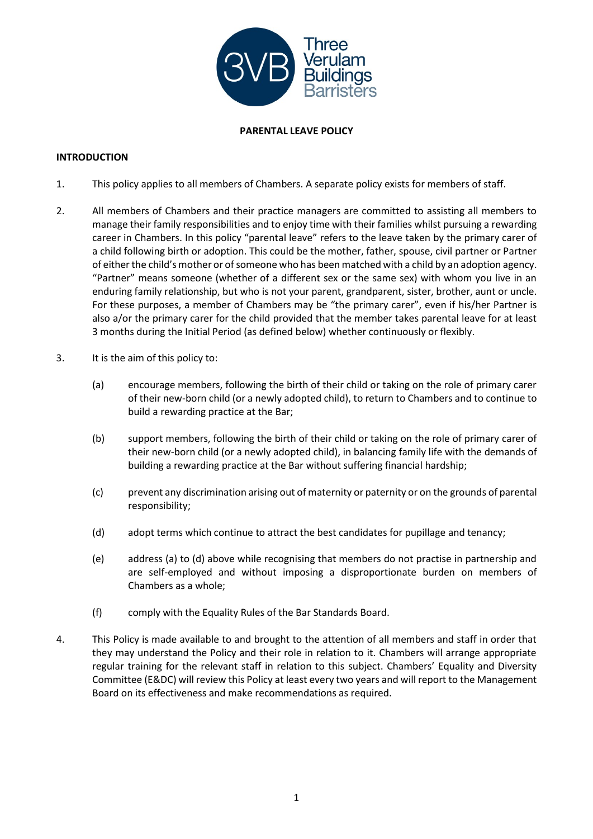

## **PARENTAL LEAVE POLICY**

## **INTRODUCTION**

- 1. This policy applies to all members of Chambers. A separate policy exists for members of staff.
- 2. All members of Chambers and their practice managers are committed to assisting all members to manage their family responsibilities and to enjoy time with their families whilst pursuing a rewarding career in Chambers. In this policy "parental leave" refers to the leave taken by the primary carer of a child following birth or adoption. This could be the mother, father, spouse, civil partner or Partner of either the child's mother or of someone who has been matched with a child by an adoption agency. "Partner" means someone (whether of a different sex or the same sex) with whom you live in an enduring family relationship, but who is not your parent, grandparent, sister, brother, aunt or uncle. For these purposes, a member of Chambers may be "the primary carer", even if his/her Partner is also a/or the primary carer for the child provided that the member takes parental leave for at least 3 months during the Initial Period (as defined below) whether continuously or flexibly.
- 3. It is the aim of this policy to:
	- (a) encourage members, following the birth of their child or taking on the role of primary carer of their new-born child (or a newly adopted child), to return to Chambers and to continue to build a rewarding practice at the Bar;
	- (b) support members, following the birth of their child or taking on the role of primary carer of their new-born child (or a newly adopted child), in balancing family life with the demands of building a rewarding practice at the Bar without suffering financial hardship;
	- (c) prevent any discrimination arising out of maternity or paternity or on the grounds of parental responsibility;
	- (d) adopt terms which continue to attract the best candidates for pupillage and tenancy;
	- (e) address (a) to (d) above while recognising that members do not practise in partnership and are self-employed and without imposing a disproportionate burden on members of Chambers as a whole;
	- (f) comply with the Equality Rules of the Bar Standards Board.
- 4. This Policy is made available to and brought to the attention of all members and staff in order that they may understand the Policy and their role in relation to it. Chambers will arrange appropriate regular training for the relevant staff in relation to this subject. Chambers' Equality and Diversity Committee (E&DC) will review this Policy at least every two years and will report to the Management Board on its effectiveness and make recommendations as required.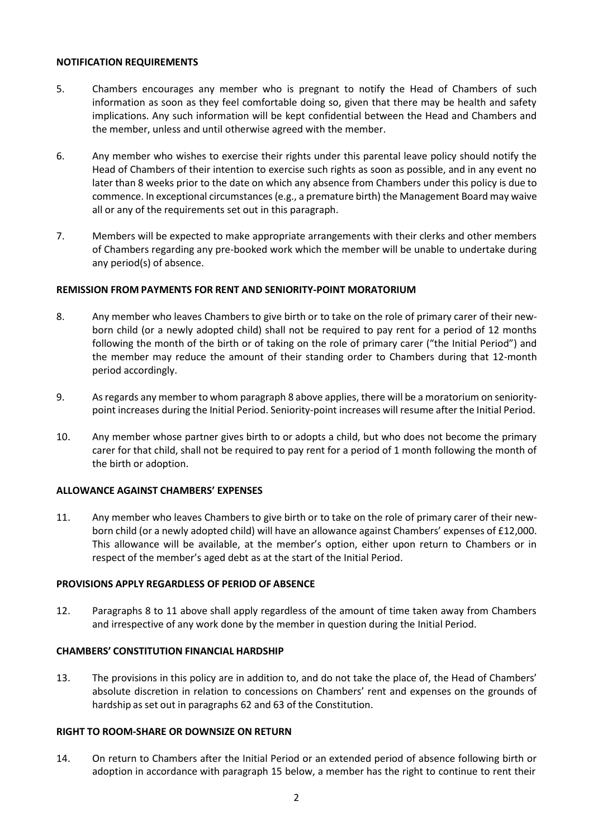#### **NOTIFICATION REQUIREMENTS**

- 5. Chambers encourages any member who is pregnant to notify the Head of Chambers of such information as soon as they feel comfortable doing so, given that there may be health and safety implications. Any such information will be kept confidential between the Head and Chambers and the member, unless and until otherwise agreed with the member.
- 6. Any member who wishes to exercise their rights under this parental leave policy should notify the Head of Chambers of their intention to exercise such rights as soon as possible, and in any event no later than 8 weeks prior to the date on which any absence from Chambers under this policy is due to commence. In exceptional circumstances(e.g., a premature birth) the Management Board may waive all or any of the requirements set out in this paragraph.
- 7. Members will be expected to make appropriate arrangements with their clerks and other members of Chambers regarding any pre-booked work which the member will be unable to undertake during any period(s) of absence.

## **REMISSION FROM PAYMENTS FOR RENT AND SENIORITY-POINT MORATORIUM**

- 8. Any member who leaves Chambers to give birth or to take on the role of primary carer of their newborn child (or a newly adopted child) shall not be required to pay rent for a period of 12 months following the month of the birth or of taking on the role of primary carer ("the Initial Period") and the member may reduce the amount of their standing order to Chambers during that 12-month period accordingly.
- 9. Asregards any member to whom paragraph 8 above applies, there will be a moratorium on senioritypoint increases during the Initial Period. Seniority-point increases will resume after the Initial Period.
- 10. Any member whose partner gives birth to or adopts a child, but who does not become the primary carer for that child, shall not be required to pay rent for a period of 1 month following the month of the birth or adoption.

## **ALLOWANCE AGAINST CHAMBERS' EXPENSES**

11. Any member who leaves Chambers to give birth or to take on the role of primary carer of their newborn child (or a newly adopted child) will have an allowance against Chambers' expenses of £12,000. This allowance will be available, at the member's option, either upon return to Chambers or in respect of the member's aged debt as at the start of the Initial Period.

## **PROVISIONS APPLY REGARDLESS OF PERIOD OF ABSENCE**

12. Paragraphs 8 to 11 above shall apply regardless of the amount of time taken away from Chambers and irrespective of any work done by the member in question during the Initial Period.

## **CHAMBERS' CONSTITUTION FINANCIAL HARDSHIP**

13. The provisions in this policy are in addition to, and do not take the place of, the Head of Chambers' absolute discretion in relation to concessions on Chambers' rent and expenses on the grounds of hardship as set out in paragraphs 62 and 63 of the Constitution.

## **RIGHT TO ROOM-SHARE OR DOWNSIZE ON RETURN**

14. On return to Chambers after the Initial Period or an extended period of absence following birth or adoption in accordance with paragraph 15 below, a member has the right to continue to rent their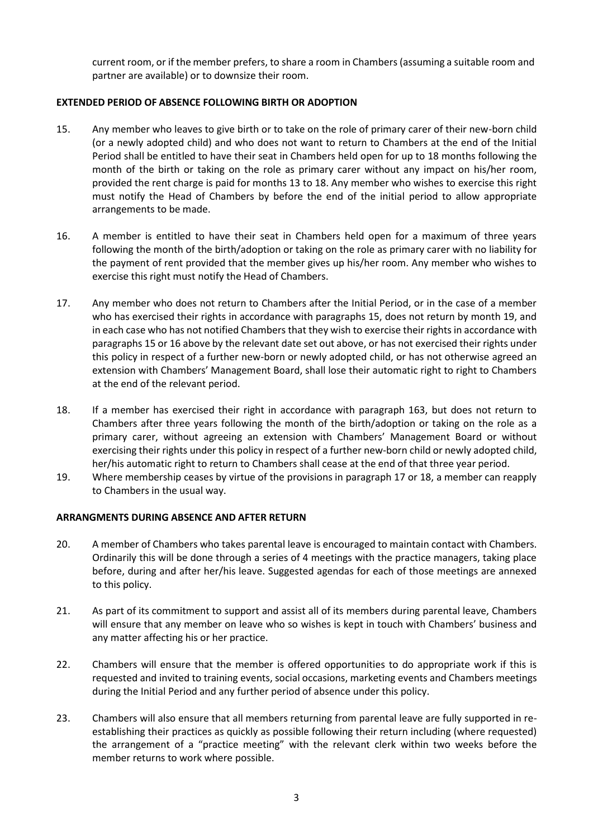current room, or if the member prefers, to share a room in Chambers (assuming a suitable room and partner are available) or to downsize their room.

## **EXTENDED PERIOD OF ABSENCE FOLLOWING BIRTH OR ADOPTION**

- 15. Any member who leaves to give birth or to take on the role of primary carer of their new-born child (or a newly adopted child) and who does not want to return to Chambers at the end of the Initial Period shall be entitled to have their seat in Chambers held open for up to 18 months following the month of the birth or taking on the role as primary carer without any impact on his/her room, provided the rent charge is paid for months 13 to 18. Any member who wishes to exercise this right must notify the Head of Chambers by before the end of the initial period to allow appropriate arrangements to be made.
- 16. A member is entitled to have their seat in Chambers held open for a maximum of three years following the month of the birth/adoption or taking on the role as primary carer with no liability for the payment of rent provided that the member gives up his/her room. Any member who wishes to exercise this right must notify the Head of Chambers.
- 17. Any member who does not return to Chambers after the Initial Period, or in the case of a member who has exercised their rights in accordance with paragraphs 15, does not return by month 19, and in each case who has not notified Chambers that they wish to exercise their rights in accordance with paragraphs 15 or 16 above by the relevant date set out above, or has not exercised their rights under this policy in respect of a further new-born or newly adopted child, or has not otherwise agreed an extension with Chambers' Management Board, shall lose their automatic right to right to Chambers at the end of the relevant period.
- 18. If a member has exercised their right in accordance with paragraph 163, but does not return to Chambers after three years following the month of the birth/adoption or taking on the role as a primary carer, without agreeing an extension with Chambers' Management Board or without exercising their rights under this policy in respect of a further new-born child or newly adopted child, her/his automatic right to return to Chambers shall cease at the end of that three year period.
- 19. Where membership ceases by virtue of the provisions in paragraph 17 or 18, a member can reapply to Chambers in the usual way.

## **ARRANGMENTS DURING ABSENCE AND AFTER RETURN**

- 20. A member of Chambers who takes parental leave is encouraged to maintain contact with Chambers. Ordinarily this will be done through a series of 4 meetings with the practice managers, taking place before, during and after her/his leave. Suggested agendas for each of those meetings are annexed to this policy.
- 21. As part of its commitment to support and assist all of its members during parental leave, Chambers will ensure that any member on leave who so wishes is kept in touch with Chambers' business and any matter affecting his or her practice.
- 22. Chambers will ensure that the member is offered opportunities to do appropriate work if this is requested and invited to training events, social occasions, marketing events and Chambers meetings during the Initial Period and any further period of absence under this policy.
- 23. Chambers will also ensure that all members returning from parental leave are fully supported in reestablishing their practices as quickly as possible following their return including (where requested) the arrangement of a "practice meeting" with the relevant clerk within two weeks before the member returns to work where possible.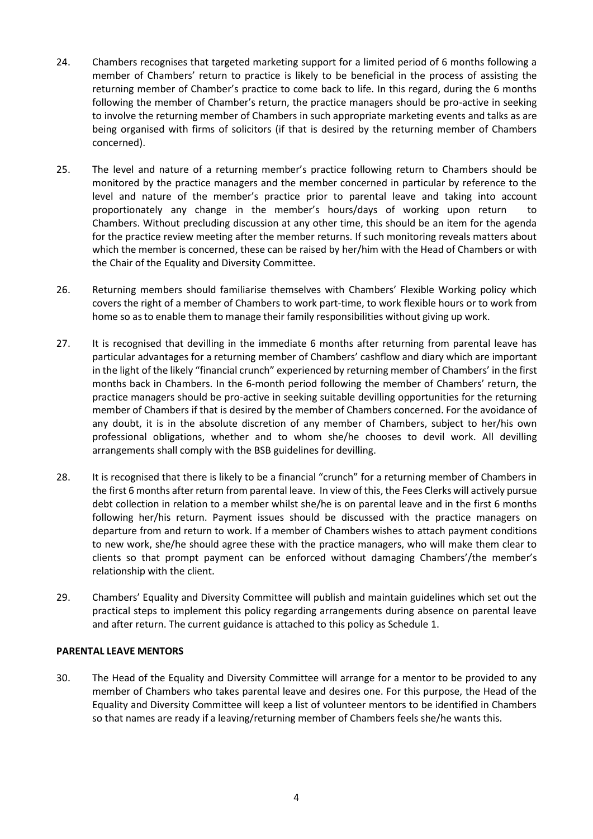- 24. Chambers recognises that targeted marketing support for a limited period of 6 months following a member of Chambers' return to practice is likely to be beneficial in the process of assisting the returning member of Chamber's practice to come back to life. In this regard, during the 6 months following the member of Chamber's return, the practice managers should be pro-active in seeking to involve the returning member of Chambers in such appropriate marketing events and talks as are being organised with firms of solicitors (if that is desired by the returning member of Chambers concerned).
- 25. The level and nature of a returning member's practice following return to Chambers should be monitored by the practice managers and the member concerned in particular by reference to the level and nature of the member's practice prior to parental leave and taking into account proportionately any change in the member's hours/days of working upon return to Chambers. Without precluding discussion at any other time, this should be an item for the agenda for the practice review meeting after the member returns. If such monitoring reveals matters about which the member is concerned, these can be raised by her/him with the Head of Chambers or with the Chair of the Equality and Diversity Committee.
- 26. Returning members should familiarise themselves with Chambers' Flexible Working policy which covers the right of a member of Chambers to work part-time, to work flexible hours or to work from home so asto enable them to manage their family responsibilities without giving up work.
- 27. It is recognised that devilling in the immediate 6 months after returning from parental leave has particular advantages for a returning member of Chambers' cashflow and diary which are important in the light of the likely "financial crunch" experienced by returning member of Chambers' in the first months back in Chambers. In the 6-month period following the member of Chambers' return, the practice managers should be pro-active in seeking suitable devilling opportunities for the returning member of Chambers if that is desired by the member of Chambers concerned. For the avoidance of any doubt, it is in the absolute discretion of any member of Chambers, subject to her/his own professional obligations, whether and to whom she/he chooses to devil work. All devilling arrangements shall comply with the BSB guidelines for devilling.
- 28. It is recognised that there is likely to be a financial "crunch" for a returning member of Chambers in the first 6 months after return from parental leave. In view of this, the Fees Clerks will actively pursue debt collection in relation to a member whilst she/he is on parental leave and in the first 6 months following her/his return. Payment issues should be discussed with the practice managers on departure from and return to work. If a member of Chambers wishes to attach payment conditions to new work, she/he should agree these with the practice managers, who will make them clear to clients so that prompt payment can be enforced without damaging Chambers'/the member's relationship with the client.
- 29. Chambers' Equality and Diversity Committee will publish and maintain guidelines which set out the practical steps to implement this policy regarding arrangements during absence on parental leave and after return. The current guidance is attached to this policy as Schedule 1.

## **PARENTAL LEAVE MENTORS**

30. The Head of the Equality and Diversity Committee will arrange for a mentor to be provided to any member of Chambers who takes parental leave and desires one. For this purpose, the Head of the Equality and Diversity Committee will keep a list of volunteer mentors to be identified in Chambers so that names are ready if a leaving/returning member of Chambers feels she/he wants this.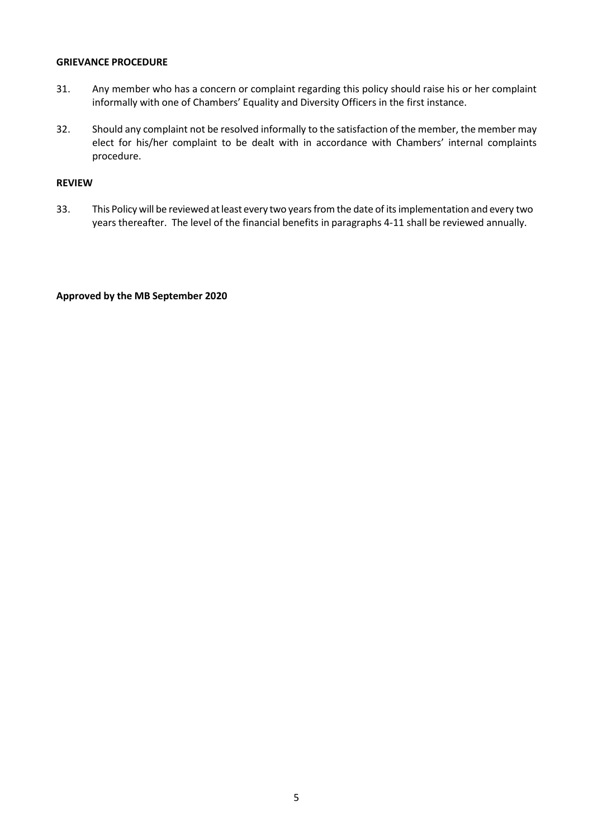#### **GRIEVANCE PROCEDURE**

- 31. Any member who has a concern or complaint regarding this policy should raise his or her complaint informally with one of Chambers' Equality and Diversity Officers in the first instance.
- 32. Should any complaint not be resolved informally to the satisfaction of the member, the member may elect for his/her complaint to be dealt with in accordance with Chambers' internal complaints procedure.

## **REVIEW**

33. This Policy will be reviewed atleast every two yearsfromthe date of itsimplementation and every two years thereafter. The level of the financial benefits in paragraphs 4-11 shall be reviewed annually.

#### **Approved by the MB September 2020**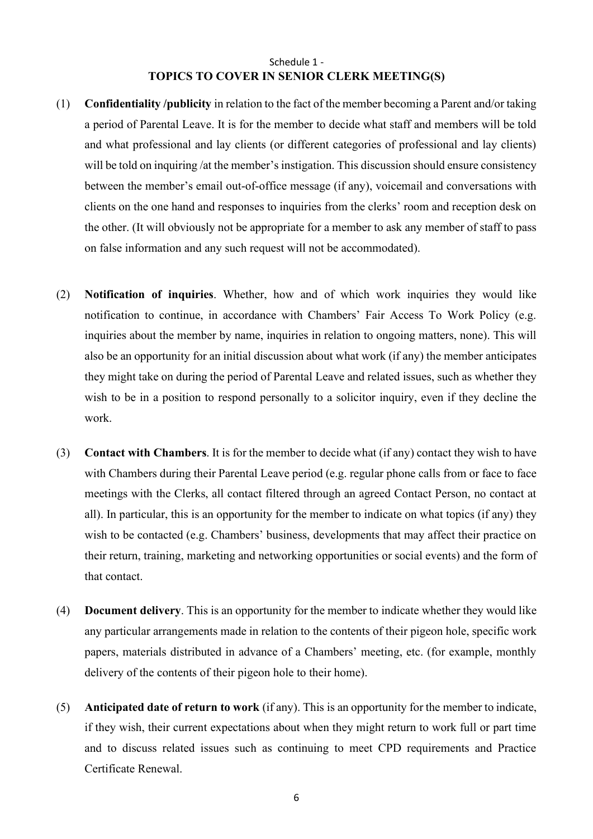# Schedule 1 - **TOPICS TO COVER IN SENIOR CLERK MEETING(S)**

- (1) **Confidentiality /publicity** in relation to the fact of the member becoming a Parent and/or taking a period of Parental Leave. It is for the member to decide what staff and members will be told and what professional and lay clients (or different categories of professional and lay clients) will be told on inquiring /at the member's instigation. This discussion should ensure consistency between the member's email out-of-office message (if any), voicemail and conversations with clients on the one hand and responses to inquiries from the clerks' room and reception desk on the other. (It will obviously not be appropriate for a member to ask any member of staff to pass on false information and any such request will not be accommodated).
- (2) **Notification of inquiries**. Whether, how and of which work inquiries they would like notification to continue, in accordance with Chambers' Fair Access To Work Policy (e.g. inquiries about the member by name, inquiries in relation to ongoing matters, none). This will also be an opportunity for an initial discussion about what work (if any) the member anticipates they might take on during the period of Parental Leave and related issues, such as whether they wish to be in a position to respond personally to a solicitor inquiry, even if they decline the work.
- (3) **Contact with Chambers**. It is for the member to decide what (if any) contact they wish to have with Chambers during their Parental Leave period (e.g. regular phone calls from or face to face meetings with the Clerks, all contact filtered through an agreed Contact Person, no contact at all). In particular, this is an opportunity for the member to indicate on what topics (if any) they wish to be contacted (e.g. Chambers' business, developments that may affect their practice on their return, training, marketing and networking opportunities or social events) and the form of that contact.
- (4) **Document delivery**. This is an opportunity for the member to indicate whether they would like any particular arrangements made in relation to the contents of their pigeon hole, specific work papers, materials distributed in advance of a Chambers' meeting, etc. (for example, monthly delivery of the contents of their pigeon hole to their home).
- (5) **Anticipated date of return to work** (if any). This is an opportunity for the member to indicate, if they wish, their current expectations about when they might return to work full or part time and to discuss related issues such as continuing to meet CPD requirements and Practice Certificate Renewal.